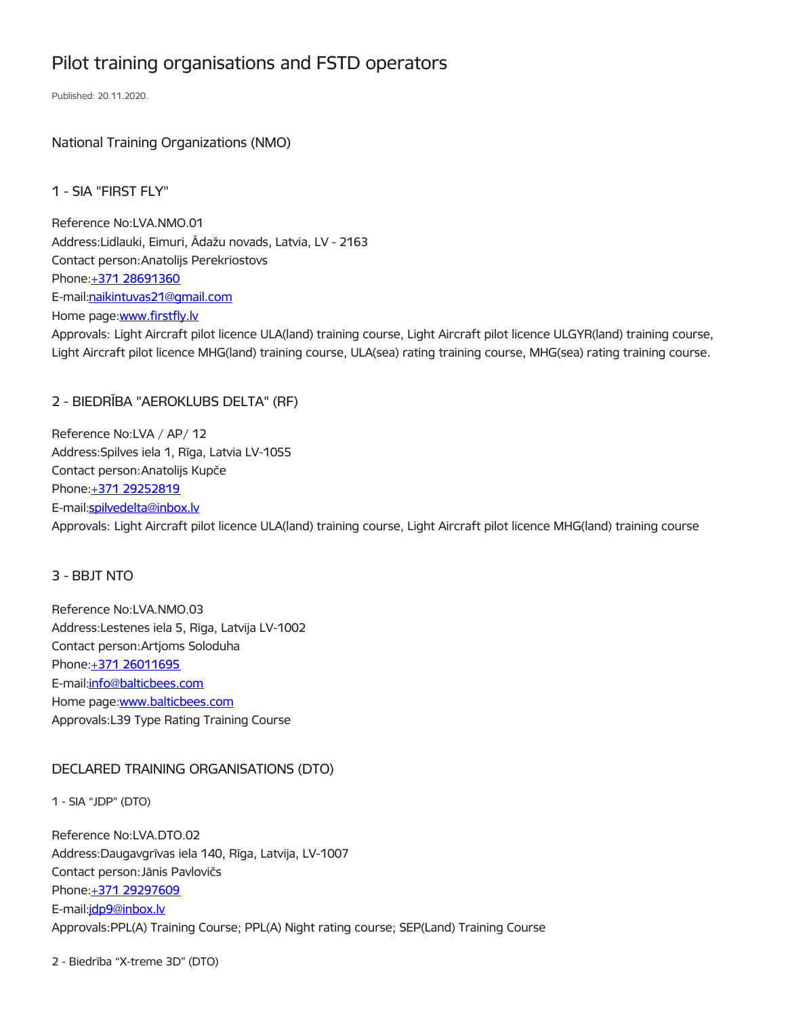# Pilot training organisations and FSTD operators

Published: 20.11.2020.

National Training Organizations (NMO)

1 - SIA "FIRST FLY"

Reference No:LVA.NMO.01 Address:Lidlauki, Eimuri, Ādažu novads, Latvia, LV - 2163 Contact person:Anatolijs Perekriostovs Phone:+371 [28691360](tel:+371%2028691360) E-mail[:naikintuvas21@gmail.com](mailto:naikintuvas21@gmail.com) Home page: www.firstfly.ly Approvals: Light Aircraft pilot licence ULA(land) training course, Light Aircraft pilot licence ULGYR(land) training course, Light Aircraft pilot licence MHG(land) training course, ULA(sea) rating training course, MHG(sea) rating training course.

# 2 - BIEDRĪBA "AEROKLUBS DELTA" (RF)

Reference No:LVA / AP/ 12 Address:Spilves iela 1, Rīga, Latvia LV-1055 Contact person:Anatolijs Kupče Phone:+371 [29252819](tel:+371%2029252819) E-mail[:spilvedelta@inbox.lv](mailto:spilvedelta@inbox.lv%20) Approvals: Light Aircraft pilot licence ULA(land) training course, Light Aircraft pilot licence MHG(land) training course

## 3 - BBJT NTO

Reference No:LVA.NMO.03 Address:Lestenes iela 5, Rīga, Latvija LV-1002 Contact person:Artjoms Soloduha Phone: +371 [26011695](tel:+371%2026011695) E-mail[:info@balticbees.com](mailto:info@balticbees.com) Home page[:www.balticbees.com](file:///tmp/www.balticbees.com) Approvals:L39 Type Rating Training Course

# DECLARED TRAINING ORGANISATIONS (DTO)

1 - SIA "JDP" (DTO)

Reference No:LVA.DTO.02 Address:Daugavgrīvas iela 140, Rīga, Latvija, LV-1007 Contact person:Jānis Pavlovičs Phone: +371 [29297609](tel:+371%2029297609) E-mail[:jdp9@inbox.lv](mailto:jdp9@inbox.lv) Approvals:PPL(A) Training Course; PPL(A) Night rating course; SEP(Land) Training Course

2 - Biedrība "X-treme 3D" (DTO)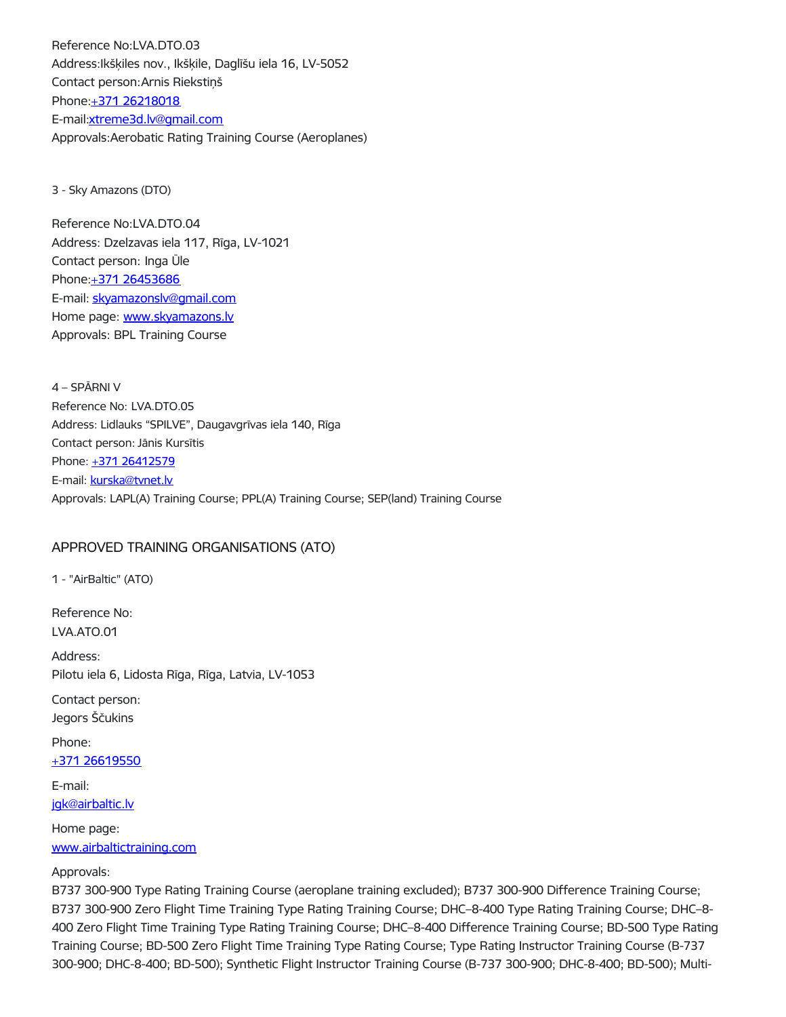Reference No:LVA.DTO.03 Address:Ikšķiles nov., Ikšķile, Daglīšu iela 16, LV-5052 Contact person:Arnis Riekstiņš Phone:+371 [26218018](tel:+371%2026218018) E-mail[:xtreme3d.lv@gmail.com](mailto:xtreme3d.lv@gmail.com) Approvals:Aerobatic Rating Training Course (Aeroplanes)

3 - Sky Amazons (DTO)

Reference No:LVA.DTO.04 Address: Dzelzavas iela 117, Rīga, LV-1021 Contact person: Inga Ūle Phone: +371 [26453686](tel:+371%2026453686) E-mail: [skyamazonslv@gmail.com](mailto:skyamazonslv@gmail.com) Home page: [www.skyamazons.lv](https://www.skyamazons.lv) Approvals: BPL Training Course

4 – SPĀRNI V Reference No: LVA.DTO.05 Address: Lidlauks "SPILVE", Daugavgrīvas iela 140, Rīga Contact person: Jānis Kursītis Phone: +371 [26412579](tel:+371%2026412579) E-mail: [kurska@tvnet.lv](mailto:kurska@tvnet.lv) Approvals: LAPL(A) Training Course; PPL(A) Training Course; SEP(land) Training Course

## APPROVED TRAINING ORGANISATIONS (ATO)

1 - "AirBaltic" (ATO)

Reference No: LVA.ATO.01

Address: Pilotu iela 6, Lidosta Rīga, Rīga, Latvia, LV-1053

Contact person: Jegors Ščukins

Phone: +371 [26619550](tel:+371%2026619550)

E-mail: [jgk@airbaltic.lv](mailto:jgk@airbaltic.lv)

Home page: [www.airbaltictraining.com](http://www.airbaltictraining.com/)

#### Approvals:

B737 300-900 Type Rating Training Course (aeroplane training excluded); B737 300-900 Difference Training Course; B737 300-900 Zero Flight Time Training Type Rating Training Course; DHC–8-400 Type Rating Training Course; DHC–8- 400 Zero Flight Time Training Type Rating Training Course; DHC–8-400 Difference Training Course; BD-500 Type Rating Training Course; BD-500 Zero Flight Time Training Type Rating Course; Type Rating Instructor Training Course (B-737 300-900; DHC-8-400; BD-500); Synthetic Flight Instructor Training Course (B-737 300-900; DHC-8-400; BD-500); Multi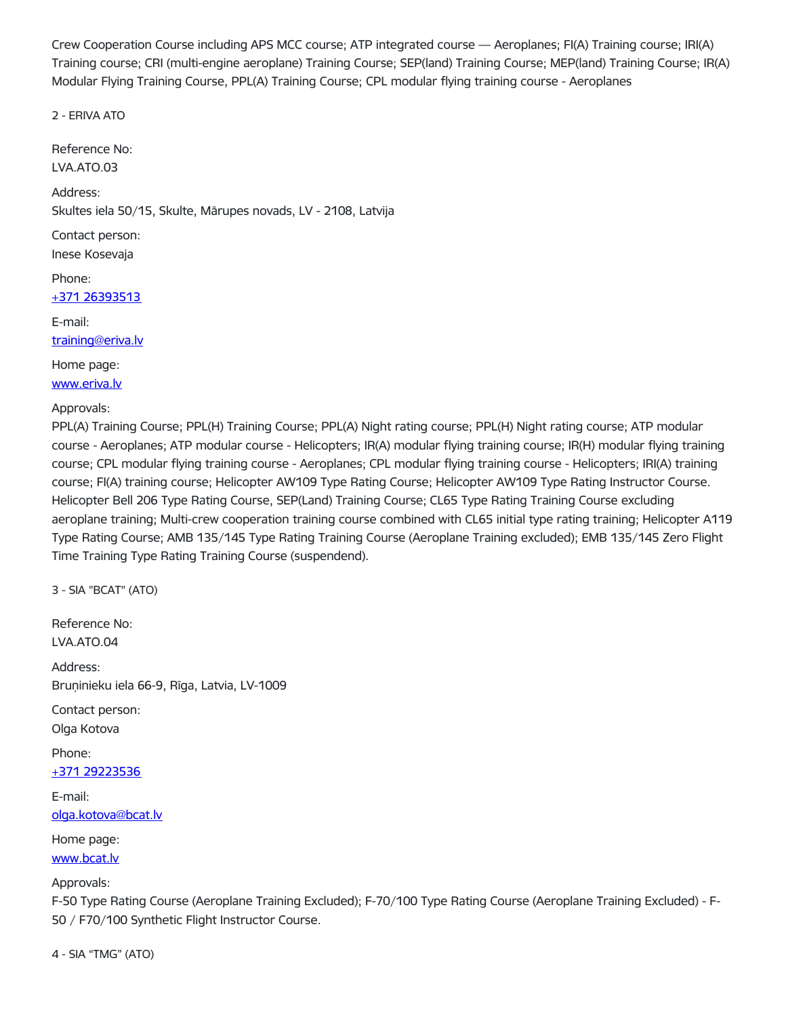Crew Cooperation Course including APS MCC course; ATP integrated course — Aeroplanes; FI(A) Training course; IRI(A) Training course; CRI (multi-engine aeroplane) Training Course; SEP(land) Training Course; MEP(land) Training Course; IR(A) Modular Flying Training Course, PPL(A) Training Course; CPL modular flying training course - Aeroplanes

2 - ERIVA ATO

Reference No: LVA.ATO.03

Address:

Skultes iela 50/15, Skulte, Mārupes novads, LV - 2108, Latvija

Contact person: Inese Kosevaja

Phone: +371 [26393513](tel:+371%2026393513)

E-mail:

[training@eriva.lv](mailto:training@eriva.lv)

Home page:

[www.eriva.lv](http://www.eriva.lv/)

Approvals:

PPL(A) Training Course; PPL(H) Training Course; PPL(A) Night rating course; PPL(H) Night rating course; ATP modular course - Aeroplanes; ATP modular course - Helicopters; IR(A) modular flying training course; IR(H) modular flying training course; CPL modular flying training course - Aeroplanes; CPL modular flying training course - Helicopters; IRI(A) training course; FI(A) training course; Helicopter AW109 Type Rating Course; Helicopter AW109 Type Rating Instructor Course. Helicopter Bell 206 Type Rating Course, SEP(Land) Training Course; CL65 Type Rating Training Course excluding aeroplane training; Multi-crew cooperation training course combined with CL65 initial type rating training; Helicopter A119 Type Rating Course; AMB 135/145 Type Rating Training Course (Aeroplane Training excluded); EMB 135/145 Zero Flight Time Training Type Rating Training Course (suspendend).

3 - SIA "BCAT" (ATO)

Reference No: LVA.ATO.04

Address: Bruņinieku iela 66-9, Rīga, Latvia, LV-1009

Contact person: Olga Kotova

Phone: +371 [29223536](tel:+371%2029223536)

E-mail: [olga.kotova@bcat.lv](mailto:olga.kotova@bcat.lv)

Home page:

[www.bcat.lv](http://www.bcat.lv/)

Approvals:

F-50 Type Rating Course (Aeroplane Training Excluded); F-70/100 Type Rating Course (Aeroplane Training Excluded) - F-50 / F70/100 Synthetic Flight Instructor Course.

4 - SIA "TMG" (ATO)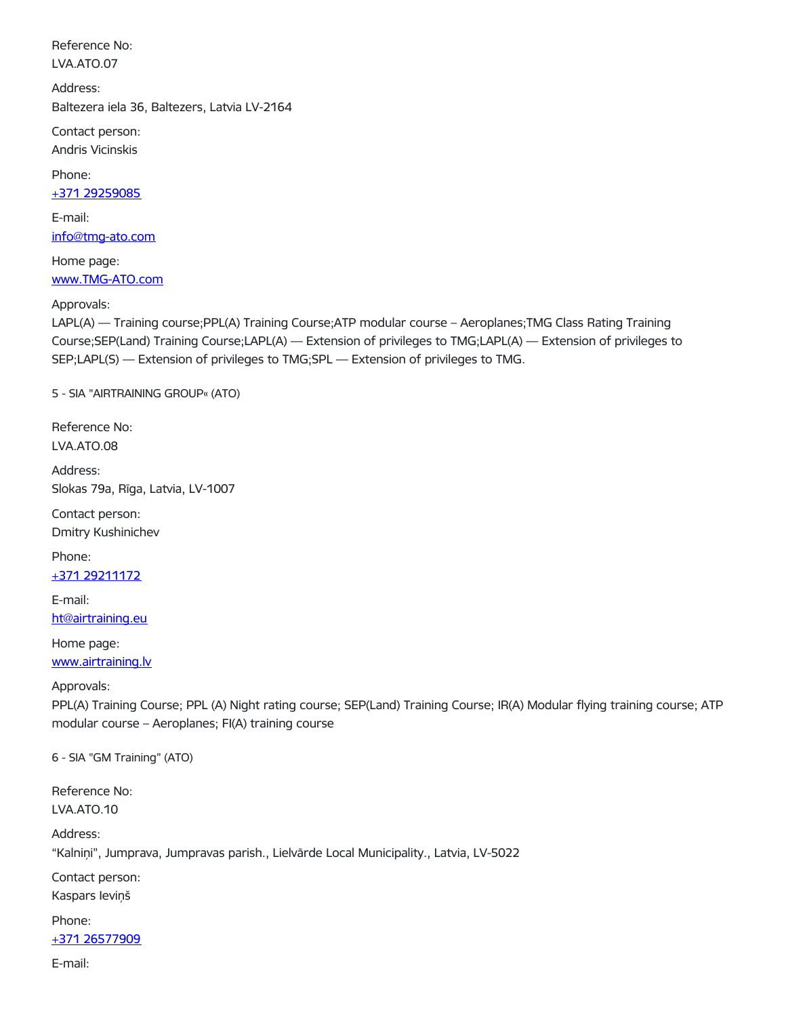Reference No: LVA.ATO.07

Address: Baltezera iela 36, Baltezers, Latvia LV-2164

Contact person: Andris Vicinskis

Phone:

+371 [29259085](tel:+371%2029259085)

E-mail: [info@tmg-ato.com](mailto:info@tmg-ato.com)

Home page: [www.TMG-ATO.com](http://www.tmg-ato.com/)

#### Approvals:

LAPL(A) — Training course;PPL(A) Training Course;ATP modular course – Aeroplanes;TMG Class Rating Training Course;SEP(Land) Training Course;LAPL(A) — Extension of privileges to TMG;LAPL(A) — Extension of privileges to SEP;LAPL(S) — Extension of privileges to TMG;SPL — Extension of privileges to TMG.

5 - SIA "AIRTRAINING GROUP« (ATO)

Reference No: LVA.ATO.08

Address: Slokas 79a, Rīga, Latvia, LV-1007

Contact person: Dmitry Kushinichev

Phone:

+371 [29211172](tel:+371%2029211172)

E-mail: [ht@airtraining.eu](mailto:ht@airtraining.eu)

Home page:

[www.airtraining.lv](http://www.airtraining.lv/)

Approvals:

PPL(A) Training Course; PPL (A) Night rating course; SEP(Land) Training Course; IR(A) Modular flying training course; ATP modular course – Aeroplanes; FI(A) training course

6 - SIA "GM Training" (ATO)

Reference No: LVA.ATO.10

Address: "Kalniņi", Jumprava, Jumpravas parish., Lielvārde Local Municipality., Latvia, LV-5022

Contact person:

Kaspars Ieviņš

Phone:

## +371 [26577909](tel:+371%2026577909)

E-mail: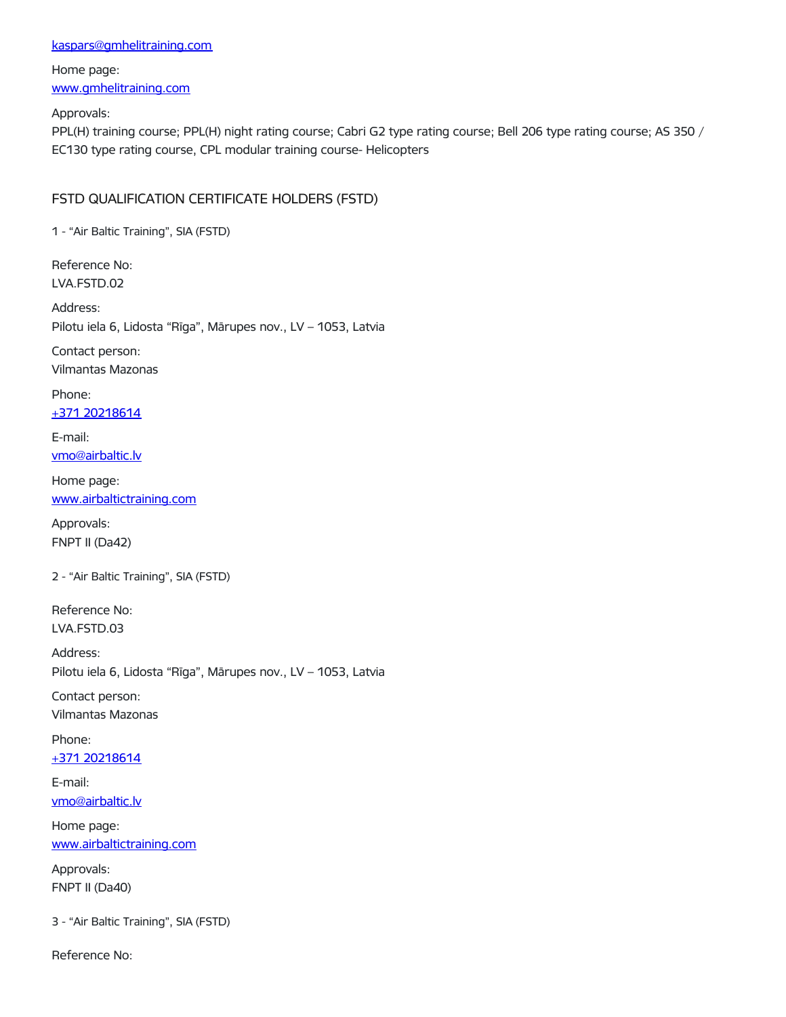#### [kaspars@gmhelitraining.com](mailto:kaspars@gmhelitraining.com)

# Home page: [www.gmhelitraining.com](http://www.gmhelitraining.com/)

Approvals:

PPL(H) training course; PPL(H) night rating course; Cabri G2 type rating course; Bell 206 type rating course; AS 350 / EC130 type rating course, CPL modular training course- Helicopters

## FSTD QUALIFICATION CERTIFICATE HOLDERS (FSTD)

1 - "Air Baltic Training", SIA (FSTD)

Reference No: LVA.FSTD.02

Address: Pilotu iela 6, Lidosta "Rīga", Mārupes nov., LV – 1053, Latvia

Contact person: Vilmantas Mazonas

Phone: +371 [20218614](tel:+371%2020218614)

E-mail: [vmo@airbaltic.lv](mailto:vmo@airbaltic.lv)

Home page: [www.airbaltictraining.com](http://www.airbaltictraining.com/)

Approvals: FNPT II (Da42)

2 - "Air Baltic Training", SIA (FSTD)

Reference No: LVA.FSTD.03

Address: Pilotu iela 6, Lidosta "Rīga", Mārupes nov., LV – 1053, Latvia

Contact person: Vilmantas Mazonas

Phone:

+371 [20218614](tel:+371%2020218614)

E-mail: [vmo@airbaltic.lv](mailto:vmo@airbaltic.lv)

Home page: [www.airbaltictraining.com](http://www.airbaltictraining.com/)

Approvals: FNPT II (Da40)

3 - "Air Baltic Training", SIA (FSTD)

Reference No: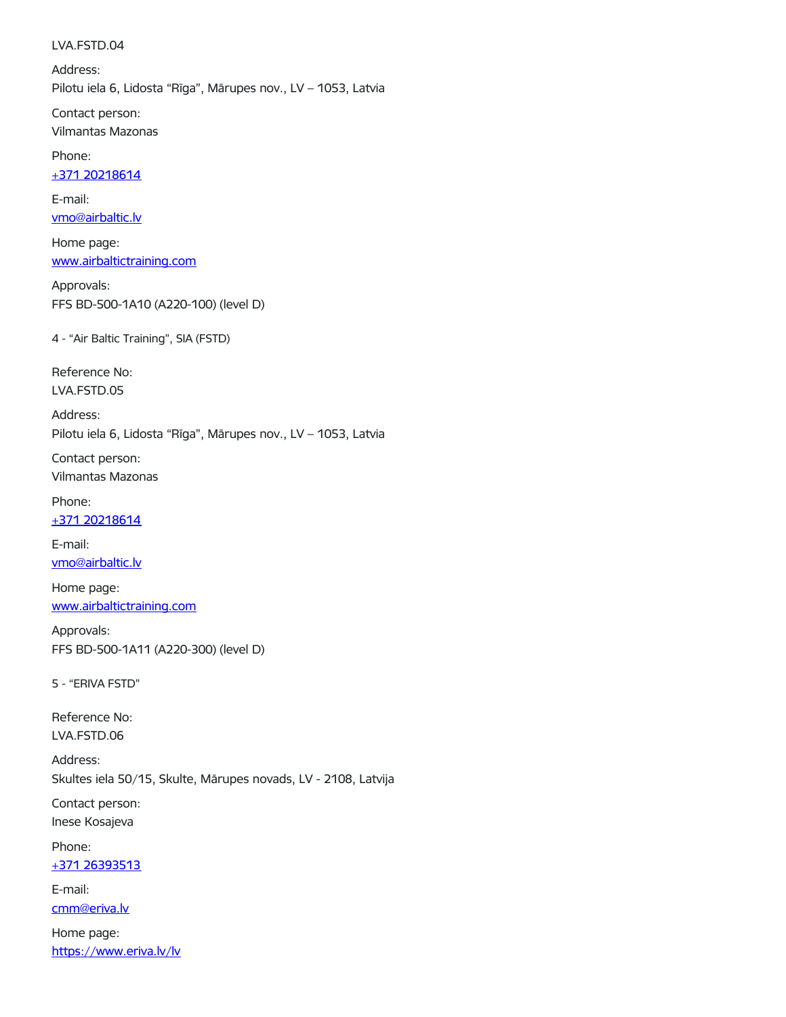#### LVA.FSTD.04

Address: Pilotu iela 6, Lidosta "Rīga", Mārupes nov., LV – 1053, Latvia

Contact person: Vilmantas Mazonas

Phone:

+371 [20218614](tel:+371%2020218614)

E-mail: [vmo@airbaltic.lv](mailto:vmo@airbaltic.lv)

Home page: [www.airbaltictraining.com](http://www.airbaltictraining.com/)

Approvals: FFS BD-500-1A10 (A220-100) (level D)

4 - "Air Baltic Training", SIA (FSTD)

Reference No: LVA.FSTD.05

Address: Pilotu iela 6, Lidosta "Rīga", Mārupes nov., LV – 1053, Latvia

Contact person: Vilmantas Mazonas

Phone:

+371 [20218614](tel:+371%2020218614)

E-mail: [vmo@airbaltic.lv](mailto:vmo@airbaltic.lv)

Home page: [www.airbaltictraining.com](http://www.airbaltictraining.com/)

Approvals: FFS BD-500-1A11 (A220-300) (level D)

5 - "ERIVA FSTD"

Reference No: LVA.FSTD.06

Address: Skultes iela 50/15, Skulte, Mārupes novads, LV - 2108, Latvija

Contact person: Inese Kosajeva

Phone:

+371 [26393513](tel:+371%2026393513)

E-mail:

[cmm@eriva.lv](mailto:cmm@eriva.lv)

Home page: <https://www.eriva.lv/lv>